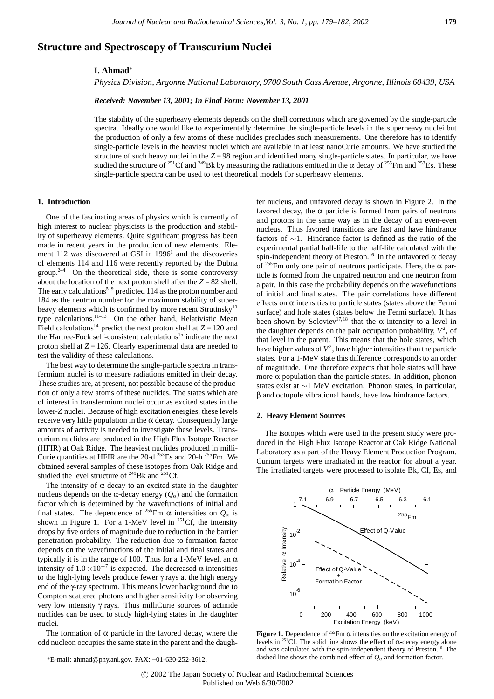# **Structure and Spectroscopy of Transcurium Nuclei**

## **I. Ahmad**<sup>∗</sup>

*Physics Division, Argonne National Laboratory, 9700 South Cass Avenue, Argonne, Illinois 60439, USA*

*Received: November 13, 2001; In Final Form: November 13, 2001*

The stability of the superheavy elements depends on the shell corrections which are governed by the single-particle spectra. Ideally one would like to experimentally determine the single-particle levels in the superheavy nuclei but the production of only a few atoms of these nuclides precludes such measurements. One therefore has to identify single-particle levels in the heaviest nuclei which are available in at least nanoCurie amounts. We have studied the structure of such heavy nuclei in the *Z* = 98 region and identified many single-particle states. In particular, we have studied the structure of <sup>251</sup>Cf and <sup>249</sup>Bk by measuring the radiations emitted in the  $\alpha$  decay of <sup>255</sup>Fm and <sup>253</sup>Es. These single-particle spectra can be used to test theoretical models for superheavy elements.

#### **1. Introduction**

One of the fascinating areas of physics which is currently of high interest to nuclear physicists is the production and stability of superheavy elements. Quite significant progress has been made in recent years in the production of new elements. Element 112 was discovered at GSI in  $1996<sup>1</sup>$  and the discoveries of elements 114 and 116 were recently reported by the Dubna group.<sup>2–4</sup> On the theoretical side, there is some controversy about the location of the next proton shell after the  $Z = 82$  shell. The early calculations<sup>5-9</sup> predicted 114 as the proton number and 184 as the neutron number for the maximum stability of superheavy elements which is confirmed by more recent Strutinsky<sup>10</sup> type calculations.11–13 On the other hand, Relativistic Mean Field calculations<sup>14</sup> predict the next proton shell at  $Z = 120$  and the Hartree-Fock self-consistent calculations<sup>15</sup> indicate the next proton shell at *Z* = 126. Clearly experimental data are needed to test the validity of these calculations.

The best way to determine the single-particle spectra in transfermium nuclei is to measure radiations emitted in their decay. These studies are, at present, not possible because of the production of only a few atoms of these nuclides. The states which are of interest in transfermium nuclei occur as excited states in the lower-*Z* nuclei. Because of high excitation energies, these levels receive very little population in the α decay. Consequently large amounts of activity is needed to investigate these levels. Transcurium nuclides are produced in the High Flux Isotope Reactor (HFIR) at Oak Ridge. The heaviest nuclides produced in milli-Curie quantities at HFIR are the 20-d 253Es and 20-h 255Fm. We obtained several samples of these isotopes from Oak Ridge and studied the level structure of  $^{249}$ Bk and  $^{251}$ Cf.

The intensity of  $\alpha$  decay to an excited state in the daughter nucleus depends on the α-decay energy  $(Q<sub>α</sub>)$  and the formation factor which is determined by the wavefunctions of initial and final states. The dependence of <sup>255</sup>Fm  $\alpha$  intensities on  $Q_{\alpha}$  is shown in Figure 1. For a 1-MeV level in <sup>251</sup>Cf, the intensity drops by five orders of magnitude due to reduction in the barrier penetration probability. The reduction due to formation factor depends on the wavefunctions of the initial and final states and typically it is in the range of 100. Thus for a 1-MeV level, an  $\alpha$ intensity of  $1.0 \times 10^{-7}$  is expected. The decreased  $\alpha$  intensities to the high-lying levels produce fewer γ rays at the high energy end of the γ-ray spectrum. This means lower background due to Compton scattered photons and higher sensitivity for observing very low intensity γ rays. Thus milliCurie sources of actinide nuclides can be used to study high-lying states in the daughter nuclei.

The formation of  $\alpha$  particle in the favored decay, where the odd nucleon occupies the same state in the parent and the daughter nucleus, and unfavored decay is shown in Figure 2. In the favored decay, the  $\alpha$  particle is formed from pairs of neutrons and protons in the same way as in the decay of an even-even nucleus. Thus favored transitions are fast and have hindrance factors of ∼1. Hindrance factor is defined as the ratio of the experimental partial half-life to the half-life calculated with the spin-independent theory of Preston.<sup>16</sup> In the unfavored  $\alpha$  decay of <sup>255</sup>Fm only one pair of neutrons participate. Here, the  $\alpha$  particle is formed from the unpaired neutron and one neutron from a pair. In this case the probability depends on the wavefunctions of initial and final states. The pair correlations have different effects on  $\alpha$  intensities to particle states (states above the Fermi surface) and hole states (states below the Fermi surface). It has been shown by Soloviev<sup>17,18</sup> that the  $\alpha$  intensity to a level in the daughter depends on the pair occupation probability,  $V^2$ , of that level in the parent. This means that the hole states, which have higher values of  $V^2$ , have higher intensities than the particle states. For a 1-MeV state this difference corresponds to an order of magnitude. One therefore expects that hole states will have more  $\alpha$  population than the particle states. In addition, phonon states exist at ∼1 MeV excitation. Phonon states, in particular, β and octupole vibrational bands, have low hindrance factors.

## **2. Heavy Element Sources**

The isotopes which were used in the present study were produced in the High Flux Isotope Reactor at Oak Ridge National Laboratory as a part of the Heavy Element Production Program. Curium targets were irradiated in the reactor for about a year. The irradiated targets were processed to isolate Bk, Cf, Es, and



**Figure 1.** Dependence of <sup>255</sup>Fm  $\alpha$  intensities on the excitation energy of levels in <sup>251</sup>Cf. The solid line shows the effect of α-decay energy alone and was calculated with the spin-independent theory of Preston.<sup>16</sup> The dashed line shows the combined effect of  $Q_\alpha$  and formation factor.

<sup>∗</sup>E-mail: ahmad@phy.anl.gov. FAX: +01-630-252-3612.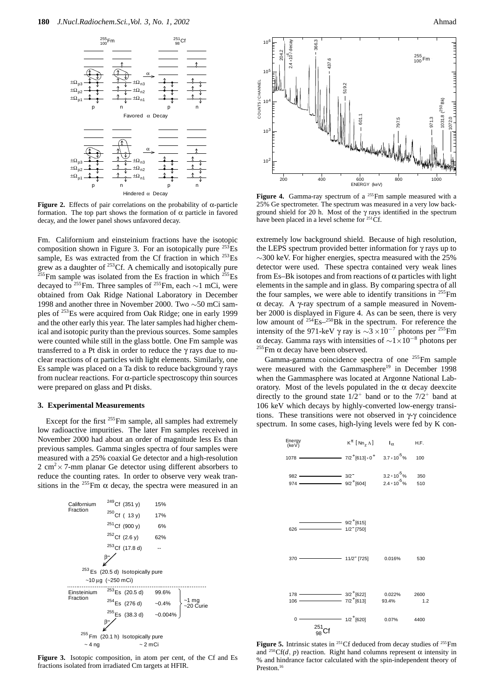

**Figure 2.** Effects of pair correlations on the probability of  $\alpha$ -particle formation. The top part shows the formation of  $\alpha$  particle in favored decay, and the lower panel shows unfavored decay.

Fm. Californium and einsteinium fractions have the isotopic composition shown in Figure 3. For an isotopically pure  $^{253}$ Es sample, Es was extracted from the Cf fraction in which <sup>253</sup>Es grew as a daughter of  $253$ Cf. A chemically and isotopically pure  $^{255}$ Fm sample was isolated from the Es fraction in which  $^{255}$ Es decayed to <sup>255</sup>Fm. Three samples of <sup>255</sup>Fm, each  $\sim$ 1 mCi, were obtained from Oak Ridge National Laboratory in December 1998 and another three in November 2000. Two ∼50 mCi samples of 253Es were acquired from Oak Ridge; one in early 1999 and the other early this year. The later samples had higher chemical and isotopic purity than the previous sources. Some samples were counted while still in the glass bottle. One Fm sample was transferred to a Pt disk in order to reduce the γ rays due to nuclear reactions of  $\alpha$  particles with light elements. Similarly, one Es sample was placed on a Ta disk to reduce background  $\gamma$  rays from nuclear reactions. For  $\alpha$ -particle spectroscopy thin sources were prepared on glass and Pt disks.

## **3. Experimental Measurements**

Except for the first <sup>255</sup>Fm sample, all samples had extremely low radioactive impurities. The later Fm samples received in November 2000 had about an order of magnitude less Es than previous samples. Gamma singles spectra of four samples were measured with a 25% coaxial Ge detector and a high-resolution  $2 \text{ cm}^2 \times 7$ -mm planar Ge detector using different absorbers to reduce the counting rates. In order to observe very weak transitions in the <sup>255</sup>Fm  $\alpha$  decay, the spectra were measured in an



**Figure 3.** Isotopic composition, in atom per cent, of the Cf and Es fractions isolated from irradiated Cm targets at HFIR.



Figure 4. Gamma-ray spectrum of a <sup>255</sup>Fm sample measured with a 25% Ge spectrometer. The spectrum was measured in a very low background shield for 20 h. Most of the  $\gamma$  rays identified in the spectrum have been placed in a level scheme for <sup>251</sup>Cf.

extremely low background shield. Because of high resolution, the LEPS spectrum provided better information for γ rays up to  $\sim$ 300 keV. For higher energies, spectra measured with the 25% detector were used. These spectra contained very weak lines from Es–Bk isotopes and from reactions of  $\alpha$  particles with light elements in the sample and in glass. By comparing spectra of all the four samples, we were able to identify transitions in  $255$ Fm α decay. A γ-ray spectrum of a sample measured in November 2000 is displayed in Figure 4. As can be seen, there is very low amount of  $254$  Es<sup>-250</sup>Bk in the spectrum. For reference the intensity of the 971-keV γ ray is <sup>∼</sup>3 <sup>×</sup>10*−*<sup>7</sup> photons per 255Fm <sup>α</sup> decay. Gamma rays with intensities of <sup>∼</sup>1×10*−*<sup>8</sup> photons per 255Fm <sup>α</sup> decay have been observed.

Gamma-gamma coincidence spectra of one 255Fm sample were measured with the Gammasphere<sup>19</sup> in December 1998 when the Gammasphere was located at Argonne National Laboratory. Most of the levels populated in the  $\alpha$  decay deexcite directly to the ground state  $1/2^+$  band or to the  $7/2^+$  band at 106 keV which decays by highly-converted low-energy transitions. These transitions were not observed in γ-γ coincidence spectrum. In some cases, high-lying levels were fed by K con-



Figure 5. Intrinsic states in <sup>251</sup>Cf deduced from decay studies of <sup>255</sup>Fm and <sup>250</sup>Cf(*d*, *p*) reaction. Right hand columns represent  $\alpha$  intensity in % and hindrance factor calculated with the spin-independent theory of Preston.<sup>16</sup>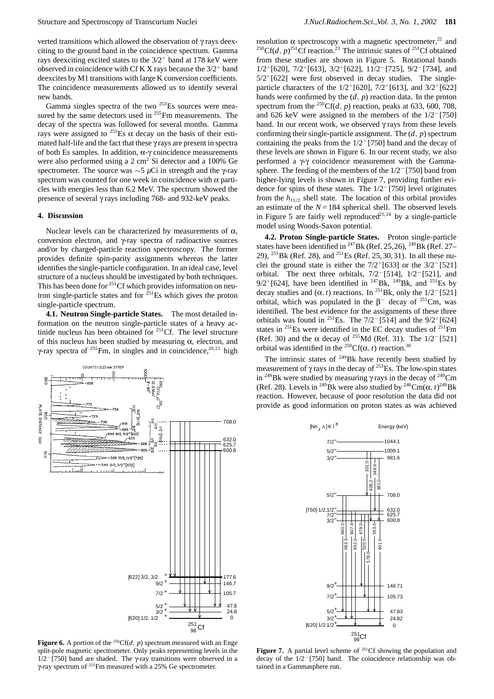verted transitions which allowed the observation of γ rays deexciting to the ground band in the coincidence spectrum. Gamma rays deexciting excited states to the  $3/2^+$  band at 178 keV were observed in coincidence with Cf K X rays because the  $3/2^+$  band deexcites by M1 transitions with large K conversion coefficients. The coincidence measurements allowed us to identify several new bands.

Gamma singles spectra of the two <sup>253</sup>Es sources were measured by the same detectors used in <sup>255</sup>Fm measurements. The decay of the spectra was followed for several months. Gamma rays were assigned to  $^{253}$ Es  $\alpha$  decay on the basis of their estimated half-life and the fact that these γ rays are present in spectra of both Es samples. In addition, α-γ coincidence measurements were also performed using a 2 cm<sup>2</sup> Si detector and a 100% Ge spectrometer. The source was ∼5 *µ*Ci in strength and the γ-ray spectrum was counted for one week in coincidence with  $\alpha$  particles with energies less than 6.2 MeV. The spectrum showed the presence of several γ rays including 768- and 932-keV peaks.

#### **4. Discussion**

Nuclear levels can be characterized by measurements of  $α$ , conversion electron, and γ-ray spectra of radioactive sources and/or by charged-particle reaction spectroscopy. The former provides definite spin-parity assignments whereas the latter identifies the single-particle configuration. In an ideal case, level structure of a nucleus should be investigated by both techniques. This has been done for <sup>251</sup>Cf which provides information on neutron single-particle states and for  $251$  Es which gives the proton single-particle spectrum.

**4.1. Neutron Single-particle States.** The most detailed information on the neutron single-particle states of a heavy actinide nucleus has been obtained for  $251 \text{Cf}$ . The level structure of this nucleus has been studied by measuring  $\alpha$ , electron, and γ-ray spectra of <sup>255</sup>Fm, in singles and in coincidence,<sup>20,21</sup> high

**Figure 6.** A portion of the <sup>250</sup>Cf(*d*, *p*) spectrum measured with an Enge split-pole magnetic spectrometer. Only peaks representing levels in the 1/2*−*[750] band are shaded. The γ-ray transitions were observed in a γ-ray spectrum of 255Fm measured with a 25% Ge spectrometer.

resolution  $\alpha$  spectroscopy with a magnetic spectrometer,<sup>22</sup> and <sup>250</sup>Cf(*d*, *p*)<sup>251</sup>Cf reaction.<sup>23</sup> The intrinsic states of <sup>251</sup>Cf obtained from these studies are shown in Figure 5. Rotational bands 1/2<sup>+</sup>[620], 7/2<sup>+</sup>[613], 3/2<sup>+</sup>[622], 11/2*−*[725], 9/2*−*[734], and  $5/2^{+}$ [622] were first observed in decay studies. The singleparticle characters of the  $1/2^{+}[620]$ ,  $7/2^{+}[613]$ , and  $3/2^{+}[622]$ bands were confirmed by the  $(d, p)$  reaction data. In the proton spectrum from the <sup>250</sup>Cf(*d*, *p*) reaction, peaks at 633, 600, 708, and 626 keV were assigned to the members of the 1/2*−*[750] band. In our recent work, we observed γ rays from these levels confirming their single-particle assignment. The  $(d, p)$  spectrum containing the peaks from the 1/2*−*[750] band and the decay of these levels are shown in Figure 6. In our recent study, we also performed a γ-γ coincidence measurement with the Gammasphere. The feeding of the members of the 1/2*−*[750] band from higher-lying levels is shown in Figure 7, providing further evidence for spins of these states. The 1/2*−*[750] level originates from the  $h_{11/2}$  shell state. The location of this orbital provides an estimate of the  $N = 184$  spherical shell. The observed levels in Figure 5 are fairly well reproduced<sup>21,24</sup> by a single-particle model using Woods-Saxon potential.

**4.2. Proton Single-particle States.** Proton single-particle states have been identified in <sup>247</sup>Bk (Ref. 25, 26), <sup>249</sup>Bk (Ref. 27– 29), <sup>251</sup>Bk (Ref. 28), and <sup>251</sup>Es (Ref. 25, 30, 31). In all these nuclei the ground state is either the 7/2<sup>+</sup>[633] or the 3/2*−*[521] orbital. The next three orbitals, 7/2*−*[514], 1/2*−*[521], and  $9/2^{+}$ [624], have been identified in <sup>247</sup>Bk, <sup>249</sup>Bk, and <sup>251</sup>Es by decay studies and  $(\alpha, t)$  reactions. In <sup>251</sup>Bk, only the 1/2<sup>*−*</sup>[521] orbital, which was populated in the  $\beta$ <sup>−</sup> decay of <sup>251</sup>Cm, was identified. The best evidence for the assignments of these three orbitals was found in 251Es. The 7/2*−*[514] and the 9/2<sup>+</sup>[624] states in  $^{251}$ Es were identified in the EC decay studies of  $^{251}$ Fm (Ref. 30) and the α decay of 255Md (Ref. 31). The 1/2*−*[521] orbital was identified in the <sup>250</sup>Cf( $\alpha$ , *t*) reaction.<sup>30</sup>

The intrinsic states of  $249$ Bk have recently been studied by measurement of  $\gamma$  rays in the decay of <sup>253</sup>Es. The low-spin states in <sup>249</sup>Bk were studied by measuring  $\gamma$  rays in the decay of <sup>249</sup>Cm (Ref. 28). Levels in <sup>249</sup>Bk were also studied by <sup>248</sup>Cm( $\alpha$ , *t*)<sup>249</sup>Bk reaction. However, because of poor resolution the data did not provide as good information on proton states as was achieved



**Figure 7.** A partial level scheme of <sup>251</sup>Cf showing the population and decay of the 1/2*−*[750] band. The coincidence relationship was obtained in a Gammasphere run.